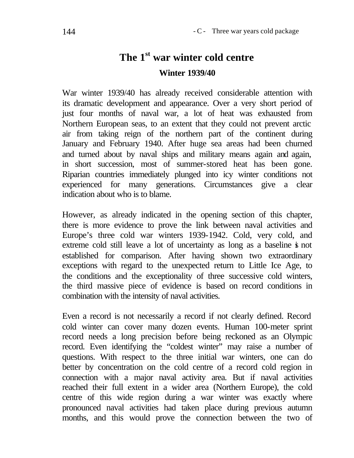## **The 1st war winter cold centre Winter 1939/40**

War winter 1939/40 has already received considerable attention with its dramatic development and appearance. Over a very short period of just four months of naval war, a lot of heat was exhausted from Northern European seas, to an extent that they could not prevent arctic air from taking reign of the northern part of the continent during January and February 1940. After huge sea areas had been churned and turned about by naval ships and military means again and again, in short succession, most of summer-stored heat has been gone. Riparian countries immediately plunged into icy winter conditions not experienced for many generations. Circumstances give a clear indication about who is to blame.

However, as already indicated in the opening section of this chapter, there is more evidence to prove the link between naval activities and Europe's three cold war winters 1939-1942. Cold, very cold, and extreme cold still leave a lot of uncertainty as long as a baseline is not established for comparison. After having shown two extraordinary exceptions with regard to the unexpected return to Little Ice Age, to the conditions and the exceptionality of three successive cold winters, the third massive piece of evidence is based on record conditions in combination with the intensity of naval activities.

Even a record is not necessarily a record if not clearly defined. Record cold winter can cover many dozen events. Human 100-meter sprint record needs a long precision before being reckoned as an Olympic record. Even identifying the "coldest winter" may raise a number of questions. With respect to the three initial war winters, one can do better by concentration on the cold centre of a record cold region in connection with a major naval activity area. But if naval activities reached their full extent in a wider area (Northern Europe), the cold centre of this wide region during a war winter was exactly where pronounced naval activities had taken place during previous autumn months, and this would prove the connection between the two of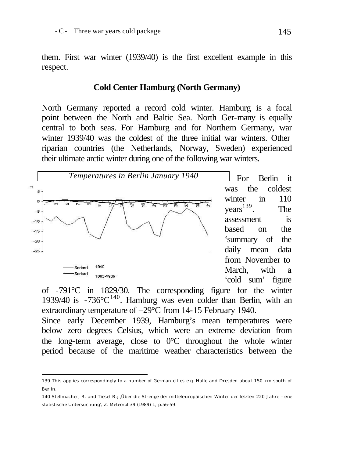them. First war winter (1939/40) is the first excellent example in this respect.

## **Cold Center Hamburg (North Germany)**

North Germany reported a record cold winter. Hamburg is a focal point between the North and Baltic Sea. North Ger-many is equally central to both seas. For Hamburg and for Northern Germany, war winter 1939/40 was the coldest of the three initial war winters. Other riparian countries (the Netherlands, Norway, Sweden) experienced their ultimate arctic winter during one of the following war winters.



l

 For Berlin it was the coldest winter in 110  $years<sup>139</sup>$ . The assessment is based on the 'summary of the daily mean data from November to March, with a 'cold sum' figure

of -791°C in 1829/30. The corresponding figure for the winter  $1939/40$  is  $-736^{\circ}C^{140}$ . Hamburg was even colder than Berlin, with an extraordinary temperature of –29°C from 14-15 February 1940. Since early December 1939, Hamburg's mean temperatures were below zero degrees Celsius, which were an extreme deviation from the long-term average, close to 0°C throughout the whole winter period because of the maritime weather characteristics between the

<sup>139</sup> This applies correspondingly to a number of German cities e.g. Halle and Dresden about 150 km south of Berlin.

<sup>140</sup> Stellmacher, R. and Tiesel R.; 'Über die Strenge der mitteleuropäischen Winter der letzten 220 Jahre – eine statistische Untersuchung', Z. Meteorol.39 (1989) 1, p.56-59.